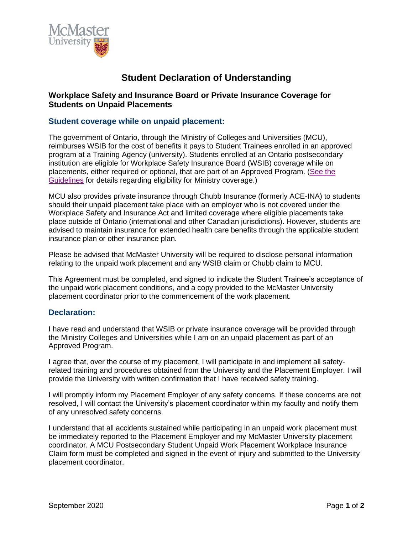

# **Student Declaration of Understanding**

## **Workplace Safety and Insurance Board or Private Insurance Coverage for Students on Unpaid Placements**

#### **Student coverage while on unpaid placement:**

The government of Ontario, through the Ministry of Colleges and Universities (MCU), reimburses WSIB for the cost of benefits it pays to Student Trainees enrolled in an approved program at a Training Agency (university). Students enrolled at an Ontario postsecondary institution are eligible for Workplace Safety Insurance Board (WSIB) coverage while on placements, either required or optional, that are part of an Approved Program. [\(See the](http://www.tcu.gov.on.ca/pepg/publications/placement.html) [Guidelines](http://www.tcu.gov.on.ca/pepg/publications/placement.html) for details regarding eligibility for Ministry coverage.)

MCU also provides private insurance through Chubb Insurance (formerly ACE-INA) to students should their unpaid placement take place with an employer who is not covered under the Workplace Safety and Insurance Act and limited coverage where eligible placements take place outside of Ontario (international and other Canadian jurisdictions). However, students are advised to maintain insurance for extended health care benefits through the applicable student insurance plan or other insurance plan.

Please be advised that McMaster University will be required to disclose personal information relating to the unpaid work placement and any WSIB claim or Chubb claim to MCU.

This Agreement must be completed, and signed to indicate the Student Trainee's acceptance of the unpaid work placement conditions, and a copy provided to the McMaster University placement coordinator prior to the commencement of the work placement.

#### **Declaration:**

I have read and understand that WSIB or private insurance coverage will be provided through the Ministry Colleges and Universities while I am on an unpaid placement as part of an Approved Program.

I agree that, over the course of my placement, I will participate in and implement all safetyrelated training and procedures obtained from the University and the Placement Employer. I will provide the University with written confirmation that I have received safety training.

I will promptly inform my Placement Employer of any safety concerns. If these concerns are not resolved, I will contact the University's placement coordinator within my faculty and notify them of any unresolved safety concerns.

I understand that all accidents sustained while participating in an unpaid work placement must be immediately reported to the Placement Employer and my McMaster University placement coordinator. A MCU Postsecondary Student Unpaid Work Placement Workplace Insurance Claim form must be completed and signed in the event of injury and submitted to the University placement coordinator.